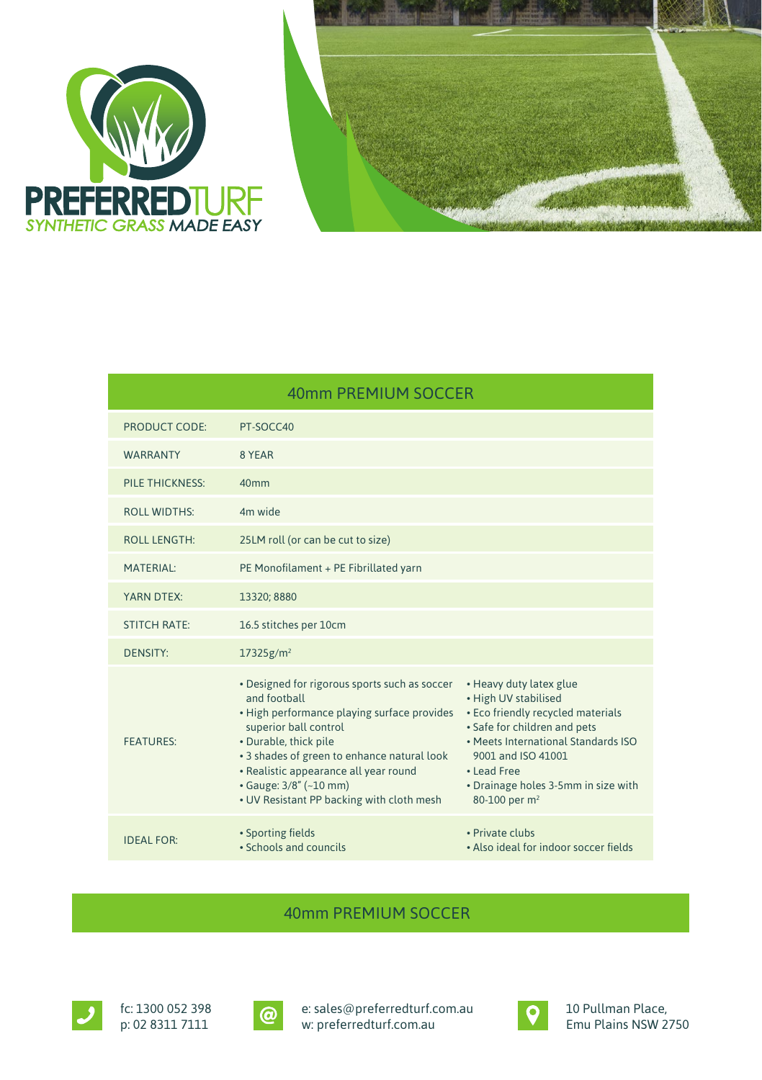



| 40mm PREMIUM SOCCER    |                                                                                                                                                                                                                                                                                                                               |                                                                                                                                                                                                                                                                      |  |
|------------------------|-------------------------------------------------------------------------------------------------------------------------------------------------------------------------------------------------------------------------------------------------------------------------------------------------------------------------------|----------------------------------------------------------------------------------------------------------------------------------------------------------------------------------------------------------------------------------------------------------------------|--|
| PRODUCT CODE:          | PT-SOCC40                                                                                                                                                                                                                                                                                                                     |                                                                                                                                                                                                                                                                      |  |
| <b>WARRANTY</b>        | 8 YEAR                                                                                                                                                                                                                                                                                                                        |                                                                                                                                                                                                                                                                      |  |
| <b>PILE THICKNESS:</b> | 40 <sub>mm</sub>                                                                                                                                                                                                                                                                                                              |                                                                                                                                                                                                                                                                      |  |
| <b>ROLL WIDTHS:</b>    | 4m wide                                                                                                                                                                                                                                                                                                                       |                                                                                                                                                                                                                                                                      |  |
| <b>ROLL LENGTH:</b>    | 25LM roll (or can be cut to size)                                                                                                                                                                                                                                                                                             |                                                                                                                                                                                                                                                                      |  |
| <b>MATERIAL:</b>       | PE Monofilament + PE Fibrillated yarn                                                                                                                                                                                                                                                                                         |                                                                                                                                                                                                                                                                      |  |
| YARN DTEX:             | 13320; 8880                                                                                                                                                                                                                                                                                                                   |                                                                                                                                                                                                                                                                      |  |
| <b>STITCH RATE:</b>    | 16.5 stitches per 10cm                                                                                                                                                                                                                                                                                                        |                                                                                                                                                                                                                                                                      |  |
| <b>DENSITY:</b>        | $17325$ g/m <sup>2</sup>                                                                                                                                                                                                                                                                                                      |                                                                                                                                                                                                                                                                      |  |
| <b>FFATURES:</b>       | • Designed for rigorous sports such as soccer<br>and football<br>• High performance playing surface provides<br>superior ball control<br>• Durable, thick pile<br>• 3 shades of green to enhance natural look<br>• Realistic appearance all year round<br>• Gauge: 3/8" (~10 mm)<br>• UV Resistant PP backing with cloth mesh | • Heavy duty latex glue<br>• High UV stabilised<br>• Eco friendly recycled materials<br>• Safe for children and pets<br>. Meets International Standards ISO<br>9001 and ISO 41001<br>• Lead Free<br>• Drainage holes 3-5mm in size with<br>80-100 per m <sup>2</sup> |  |
| <b>IDEAL FOR:</b>      | • Sporting fields<br>• Schools and councils                                                                                                                                                                                                                                                                                   | · Private clubs<br>. Also ideal for indoor soccer fields                                                                                                                                                                                                             |  |

## 40mm PREMIUM SOCCER



fc: 1300 052 398 p: 02 8311 7111



e: sales@preferredturf.com.au w: preferredturf.com.au



10 Pullman Place, Emu Plains NSW 2750